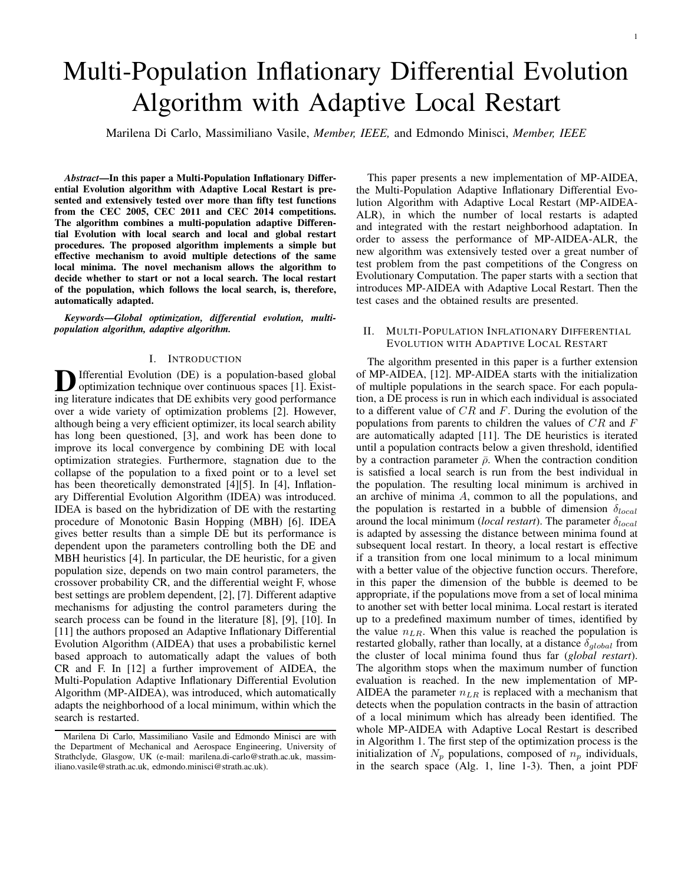1

# Multi-Population Inflationary Differential Evolution Algorithm with Adaptive Local Restart

Marilena Di Carlo, Massimiliano Vasile, *Member, IEEE,* and Edmondo Minisci, *Member, IEEE*

*Abstract*—In this paper a Multi-Population Inflationary Differential Evolution algorithm with Adaptive Local Restart is presented and extensively tested over more than fifty test functions from the CEC 2005, CEC 2011 and CEC 2014 competitions. The algorithm combines a multi-population adaptive Differential Evolution with local search and local and global restart procedures. The proposed algorithm implements a simple but effective mechanism to avoid multiple detections of the same local minima. The novel mechanism allows the algorithm to decide whether to start or not a local search. The local restart of the population, which follows the local search, is, therefore, automatically adapted.

*Keywords*—*Global optimization, differential evolution, multipopulation algorithm, adaptive algorithm.*

### I. INTRODUCTION

**D** Ifferential Evolution (DE) is a population-based global optimization technique over continuous spaces [1]. Existoptimization technique over continuous spaces [1]. Existing literature indicates that DE exhibits very good performance over a wide variety of optimization problems [2]. However, although being a very efficient optimizer, its local search ability has long been questioned, [3], and work has been done to improve its local convergence by combining DE with local optimization strategies. Furthermore, stagnation due to the collapse of the population to a fixed point or to a level set has been theoretically demonstrated [4][5]. In [4], Inflationary Differential Evolution Algorithm (IDEA) was introduced. IDEA is based on the hybridization of DE with the restarting procedure of Monotonic Basin Hopping (MBH) [6]. IDEA gives better results than a simple DE but its performance is dependent upon the parameters controlling both the DE and MBH heuristics [4]. In particular, the DE heuristic, for a given population size, depends on two main control parameters, the crossover probability CR, and the differential weight F, whose best settings are problem dependent, [2], [7]. Different adaptive mechanisms for adjusting the control parameters during the search process can be found in the literature [8], [9], [10]. In [11] the authors proposed an Adaptive Inflationary Differential Evolution Algorithm (AIDEA) that uses a probabilistic kernel based approach to automatically adapt the values of both CR and F. In [12] a further improvement of AIDEA, the Multi-Population Adaptive Inflationary Differential Evolution Algorithm (MP-AIDEA), was introduced, which automatically adapts the neighborhood of a local minimum, within which the search is restarted.

This paper presents a new implementation of MP-AIDEA, the Multi-Population Adaptive Inflationary Differential Evolution Algorithm with Adaptive Local Restart (MP-AIDEA-ALR), in which the number of local restarts is adapted and integrated with the restart neighborhood adaptation. In order to assess the performance of MP-AIDEA-ALR, the new algorithm was extensively tested over a great number of test problem from the past competitions of the Congress on Evolutionary Computation. The paper starts with a section that introduces MP-AIDEA with Adaptive Local Restart. Then the test cases and the obtained results are presented.

# II. MULTI-POPULATION INFLATIONARY DIFFERENTIAL EVOLUTION WITH ADAPTIVE LOCAL RESTART

The algorithm presented in this paper is a further extension of MP-AIDEA, [12]. MP-AIDEA starts with the initialization of multiple populations in the search space. For each population, a DE process is run in which each individual is associated to a different value of *CR* and *F*. During the evolution of the populations from parents to children the values of *CR* and *F* are automatically adapted [11]. The DE heuristics is iterated until a population contracts below a given threshold, identified by a contraction parameter  $\bar{\rho}$ . When the contraction condition is satisfied a local search is run from the best individual in the population. The resulting local minimum is archived in an archive of minima *A*, common to all the populations, and the population is restarted in a bubble of dimension *δlocal* around the local minimum (*local restart*). The parameter *δlocal* is adapted by assessing the distance between minima found at subsequent local restart. In theory, a local restart is effective if a transition from one local minimum to a local minimum with a better value of the objective function occurs. Therefore, in this paper the dimension of the bubble is deemed to be appropriate, if the populations move from a set of local minima to another set with better local minima. Local restart is iterated up to a predefined maximum number of times, identified by the value  $n_{LR}$ . When this value is reached the population is restarted globally, rather than locally, at a distance *δglobal* from the cluster of local minima found thus far (*global restart*). The algorithm stops when the maximum number of function evaluation is reached. In the new implementation of MP-AIDEA the parameter *nLR* is replaced with a mechanism that detects when the population contracts in the basin of attraction of a local minimum which has already been identified. The whole MP-AIDEA with Adaptive Local Restart is described in Algorithm 1. The first step of the optimization process is the initialization of  $N_p$  populations, composed of  $n_p$  individuals, in the search space (Alg. 1, line 1-3). Then, a joint PDF

Marilena Di Carlo, Massimiliano Vasile and Edmondo Minisci are with the Department of Mechanical and Aerospace Engineering, University of Strathclyde, Glasgow, UK (e-mail: marilena.di-carlo@strath.ac.uk, massimiliano.vasile@strath.ac.uk, edmondo.minisci@strath.ac.uk).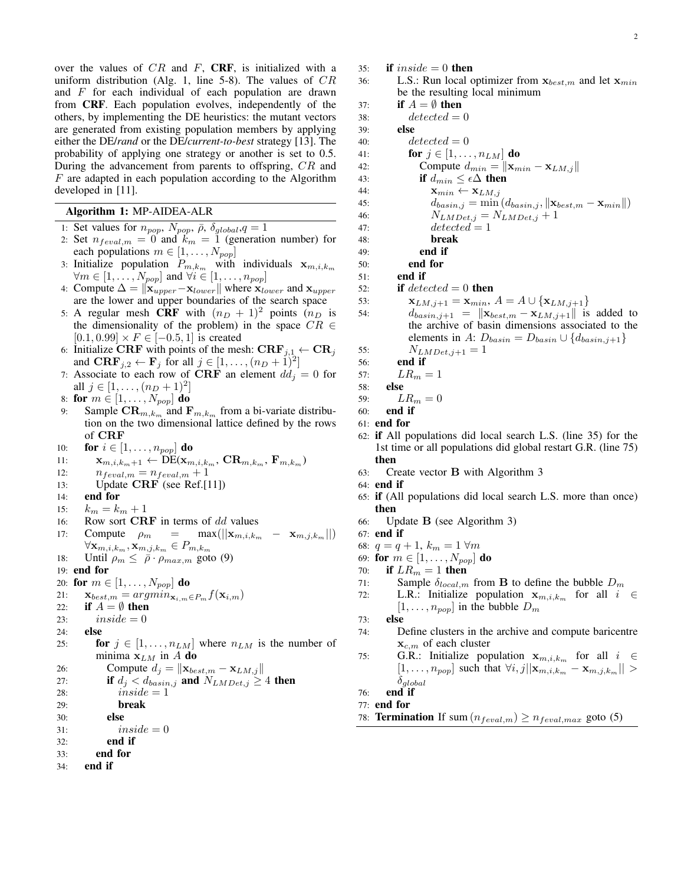over the values of *CR* and *F*, CRF, is initialized with a uniform distribution (Alg. 1, line 5-8). The values of *CR* and *F* for each individual of each population are drawn from CRF. Each population evolves, independently of the others, by implementing the DE heuristics: the mutant vectors are generated from existing population members by applying either the DE/*rand* or the DE/*current-to-best* strategy [13]. The probability of applying one strategy or another is set to 0.5. During the advancement from parents to offspring, *CR* and *F* are adapted in each population according to the Algorithm developed in [11].

# Algorithm 1: MP-AIDEA-ALR

- 1: Set values for  $n_{pop}$ ,  $N_{pop}$ ,  $\bar{\rho}$ ,  $\delta_{global}$ ,  $q = 1$
- 2: Set  $n_{feval,m} = 0$  and  $k_m = 1$  (generation number) for each populations  $m \in [1, \ldots, N_{pop}]$
- 3: Initialize population  $P_{m,k_m}$  with individuals  $\mathbf{x}_{m,i,k_m}$ *∀m ∈* [1*, . . . , Npop*] and *∀i ∈* [1*, . . . , npop*]
- 4: Compute ∆ = *∥***x***upper−***x***lower∥* where **x***lower* and **x***upper* are the lower and upper boundaries of the search space
- 5: A regular mesh CRF with  $(n_D + 1)^2$  points  $(n_D)$  is the dimensionality of the problem) in the space  $CR \in$  $[0.1, 0.99] \times F \in [-0.5, 1]$  is created
- 6: Initialize CRF with points of the mesh:  $\text{CRF}_{j,1} \leftarrow \text{CR}_j$ and  $\mathbf{CRF}_{j,2} \leftarrow \mathbf{F}_j$  for all  $j \in [1, \ldots, (n_D + 1)^2]$
- 7: Associate to each row of **CRF** an element  $dd<sub>j</sub> = 0$  for all *j* ∈ [1, . . . ,  $(n_D + 1)^2$ ]
- 8: for  $m \in [1, \ldots, N_{pop}]$  do
- 9: Sample  $\text{CR}_{m,k_m}$  and  $\text{F}_{m,k_m}$  from a bi-variate distribution on the two dimensional lattice defined by the rows of **CRF**

10: **for**  $i \in [1, \ldots, n_{pop}]$  **do** 

11: 
$$
\mathbf{x}_{m,i,k_m+1} \leftarrow \text{DE}(\mathbf{x}_{m,i,k_m}, \, \text{CR}_{m,k_m}, \, \mathbf{F}_{m,k_m})
$$

- 12:  $n_{feval,m} = n_{feval,m} + 1$
- 13: Update **CRF** (see Ref.[11])
- 14: end for
- 15:  $k_m = k_m + 1$
- 16: Row sort **CRF** in terms of *dd* values

17: Compute 
$$
\rho_m = \max(||\mathbf{x}_{m,i,k_m} - \mathbf{x}_{m,j,k_m}||)
$$
  
 $\forall \mathbf{x}_{m,i,k_m}, \mathbf{x}_{m,j,k_m} \in P_{m,k_m}$ 

- 18: Until  $\rho_m \leq \bar{\rho} \cdot \rho_{max,m}$  goto (9)
- 19: end for
- 20: for  $m \in [1, \ldots, N_{pop}]$  do
- 21:  $\mathbf{x}_{best,m} = argmin_{\mathbf{x}_{i,m}} \in P_m f(\mathbf{x}_{i,m})$ <br>22: **if**  $A = \emptyset$  then
- if  $A = \emptyset$  then
- 23:  $inside = 0$
- 24: else
- 25: **for**  $j \in [1, ..., n_{LM}]$  where  $n_{LM}$  is the number of minima  $\mathbf{x}_{LM}$  in *A* do

```
26: Compute d_j = ||\mathbf{x}_{best,m} - \mathbf{x}_{LM,j}||
```
27: **if**  $d_j < d_{basin,j}$  and  $N_{LMDet,j} \geq 4$  then

```
28: inside = 1
```
29: break

```
30: else
```

```
31: inside = 0
```

```
32: end if
```
- 33: end for
- 34: end if

2

- 35: **if**  $inside = 0$  **then**
- 36: L.S.: Run local optimizer from **x***best,m* and let **x***min* be the resulting local minimum
- 37: **if**  $A = \emptyset$  then

 $38: \qquad \qquad detected=0$ 

39: else

- 40:  $\qquad \qquad detected = 0$ 41: **for**  $j \in [1, \ldots, n_{LM}]$  do 42: **Compute**  $d_{min} = ||\mathbf{x}_{min} - \mathbf{x}_{LM,j}||$
- 43: **if**  $d_{min} \leq \epsilon \Delta$  **then**
- 44:  $\mathbf{x}_{min} \leftarrow \mathbf{x}_{LM,j}$
- 45:  $d_{basin,j} = \min (d_{basin,j}, ||\mathbf{x}_{best,m} \mathbf{x}_{min}||)$
- 46:  $N_{LMDet,j} = N_{LMDet,j} + 1$
- 47:  $\qquad \qquad detected = 1$
- 48: break
- 49: end if
- 50: end for
- 51: end if
- 52: **if**  $detected = 0$  **then**
- 53:  $\mathbf{x}_{LM,j+1} = \mathbf{x}_{min}, A = A \cup \{\mathbf{x}_{LM,j+1}\}$
- 54:  $d_{basin,j+1} = ||\mathbf{x}_{best,m} \mathbf{x}_{LM,j+1}||$  is added to the archive of basin dimensions associated to the elements in *A*:  $D_{basin} = D_{basin} \cup \{d_{basin,j+1}\}$
- 55:  $N_{LMDet,j+1} = 1$

```
56: end if
```
57:  $LR_m = 1$ 

```
58: else
```

```
59: LR_m = 0
```

```
60: end if
```
- 61: end for
- 62: if All populations did local search L.S. (line 35) for the 1st time or all populations did global restart G.R. (line 75) then
- 63: Create vector **B** with Algorithm 3
- 64: end if
- 65: if (All populations did local search L.S. more than once) then
- 66: Update **B** (see Algorithm 3)
- 67: end if
- 68:  $q = q + 1$ ,  $k_m = 1 \forall m$
- 69: **for**  $m \in [1, \ldots, N_{pop}]$  **do**
- 70: **if**  $LR_m = 1$  then
- 71: Sample  $\delta_{local,m}$  from **B** to define the bubble  $D_m$
- 72: L.R.: Initialize population  $\mathbf{x}_{m,i,k_m}$  for all  $i \in$  $[1, \ldots, n_{pop}]$  in the bubble  $D_m$

```
73: else
```
- 74: Define clusters in the archive and compute baricentre **x***c,m* of each cluster
- 75: G.R.: Initialize population  $\mathbf{x}_{m,i,k_m}$  for all  $i \in$  $[1, \ldots, n_{pop}]$  such that  $\forall i, j | \mathbf{x}_{m,i,k_m} - \mathbf{x}_{m,j,k_m} | >$ *δglobal*

```
76: end if
```

```
77: end for
```
78: **Termination** If sum  $(n_{feval,m}) \geq n_{feval,max}$  goto (5)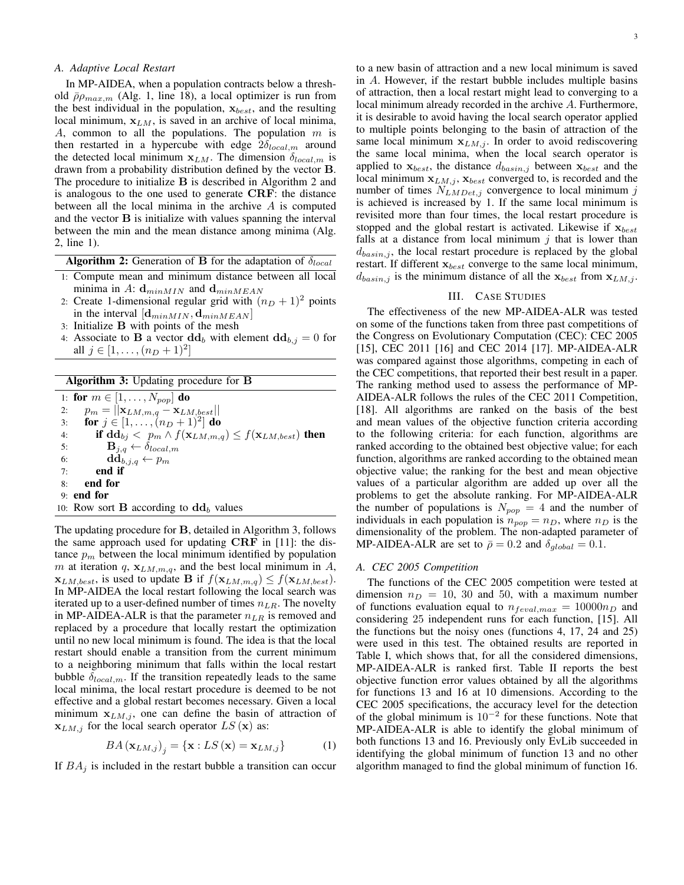# *A. Adaptive Local Restart*

In MP-AIDEA, when a population contracts below a threshold  $\bar{\rho}\rho_{max,m}$  (Alg. 1, line 18), a local optimizer is run from the best individual in the population, **x***best*, and the resulting local minimum, **x***LM*, is saved in an archive of local minima, *A*, common to all the populations. The population *m* is then restarted in a hypercube with edge 2*δlocal,m* around the detected local minimum  $\mathbf{x}_{LM}$ . The dimension  $\delta_{local,m}$  is drawn from a probability distribution defined by the vector **B**. The procedure to initialize **B** is described in Algorithm 2 and is analogous to the one used to generate **CRF**: the distance between all the local minima in the archive *A* is computed and the vector **B** is initialize with values spanning the interval between the min and the mean distance among minima (Alg. 2, line 1).

Algorithm 2: Generation of **B** for the adaptation of *δlocal*

- 1: Compute mean and minimum distance between all local minima in A:  $\mathbf{d}_{minMIN}$  and  $\mathbf{d}_{minMEAN}$
- 2: Create 1-dimensional regular grid with  $(n_D + 1)^2$  points in the interval  $[\mathbf{d}_{minMIN}, \mathbf{d}_{minMEAN}]$
- 3: Initialize **B** with points of the mesh
- 4: Associate to **B** a vector  $\mathbf{dd}_b$  with element  $\mathbf{dd}_{b,j} = 0$  for all  $j \in [1, ..., (n_D + 1)^2]$

| <b>Algorithm 3:</b> Updating procedure for <b>B</b> |                                                                                             |  |  |
|-----------------------------------------------------|---------------------------------------------------------------------------------------------|--|--|
|                                                     | 1: for $m \in [1, \ldots, N_{pop}]$ do                                                      |  |  |
| 2:                                                  | $p_m =   \mathbf{x}_{LM,m,q} - \mathbf{x}_{LM,best}  $                                      |  |  |
| 3:                                                  | for $j \in [1, \ldots, (n_D + 1)^2]$ do                                                     |  |  |
| 4:                                                  | if $\mathbf{dd}_{bj} < p_m \wedge f(\mathbf{x}_{LM,m,q}) \leq f(\mathbf{x}_{LM,best})$ then |  |  |
| 5:                                                  | $\mathbf{B}_{j,q} \leftarrow \delta_{local,m}$                                              |  |  |
| 6:                                                  | $\mathbf{dd}_{b,j,q} \leftarrow p_m$                                                        |  |  |
| 7:                                                  | end if                                                                                      |  |  |
| 8:                                                  | end for                                                                                     |  |  |
|                                                     | $9:$ end for                                                                                |  |  |
|                                                     | 10: Row sort <b>B</b> according to $\mathbf{dd}_h$ values                                   |  |  |

The updating procedure for **B**, detailed in Algorithm 3, follows the same approach used for updating **CRF** in [11]: the distance  $p_m$  between the local minimum identified by population *m* at iteration  $q$ ,  $\mathbf{x}_{LM,m,q}$ , and the best local minimum in  $A$ ,  $\mathbf{x}_{LM, best}$ , is used to update **B** if  $f(\mathbf{x}_{LM,m,q}) \leq f(\mathbf{x}_{LM, best})$ . In MP-AIDEA the local restart following the local search was iterated up to a user-defined number of times *nLR*. The novelty in MP-AIDEA-ALR is that the parameter *nLR* is removed and replaced by a procedure that locally restart the optimization until no new local minimum is found. The idea is that the local restart should enable a transition from the current minimum to a neighboring minimum that falls within the local restart bubble  $\delta_{local,m}$ . If the transition repeatedly leads to the same local minima, the local restart procedure is deemed to be not effective and a global restart becomes necessary. Given a local minimum  $\mathbf{x}_{LM,j}$ , one can define the basin of attraction of  $\mathbf{x}_{LM,j}$  for the local search operator *LS* (**x**) as:

$$
BA\left(\mathbf{x}_{LM,j}\right)_j = \{ \mathbf{x} : LS\left(\mathbf{x}\right) = \mathbf{x}_{LM,j} \} \tag{1}
$$

If  $BA_i$  is included in the restart bubble a transition can occur

to a new basin of attraction and a new local minimum is saved in *A*. However, if the restart bubble includes multiple basins of attraction, then a local restart might lead to converging to a local minimum already recorded in the archive *A*. Furthermore, it is desirable to avoid having the local search operator applied to multiple points belonging to the basin of attraction of the same local minimum  $\mathbf{x}_{LM,j}$ . In order to avoid rediscovering the same local minima, when the local search operator is applied to  $\mathbf{x}_{best}$ , the distance  $d_{basin,j}$  between  $\mathbf{x}_{best}$  and the local minimum  $\mathbf{x}_{LM,j}$ ,  $\mathbf{x}_{best}$  converged to, is recorded and the number of times *NLMDet,j* convergence to local minimum *j* is achieved is increased by 1. If the same local minimum is revisited more than four times, the local restart procedure is stopped and the global restart is activated. Likewise if **x***best* falls at a distance from local minimum *j* that is lower than *dbasin,j* , the local restart procedure is replaced by the global restart. If different **x***best* converge to the same local minimum,  $d_{basin,j}$  is the minimum distance of all the  $\mathbf{x}_{best}$  from  $\mathbf{x}_{LM,j}$ .

# III. CASE STUDIES

The effectiveness of the new MP-AIDEA-ALR was tested on some of the functions taken from three past competitions of the Congress on Evolutionary Computation (CEC): CEC 2005 [15], CEC 2011 [16] and CEC 2014 [17]. MP-AIDEA-ALR was compared against those algorithms, competing in each of the CEC competitions, that reported their best result in a paper. The ranking method used to assess the performance of MP-AIDEA-ALR follows the rules of the CEC 2011 Competition, [18]. All algorithms are ranked on the basis of the best and mean values of the objective function criteria according to the following criteria: for each function, algorithms are ranked according to the obtained best objective value; for each function, algorithms are ranked according to the obtained mean objective value; the ranking for the best and mean objective values of a particular algorithm are added up over all the problems to get the absolute ranking. For MP-AIDEA-ALR the number of populations is  $N_{pop} = 4$  and the number of individuals in each population is  $n_{pop} = n_D$ , where  $n_D$  is the dimensionality of the problem. The non-adapted parameter of MP-AIDEA-ALR are set to  $\bar{\rho} = 0.2$  and  $\delta_{global} = 0.1$ .

#### *A. CEC 2005 Competition*

The functions of the CEC 2005 competition were tested at dimension  $n_D = 10$ , 30 and 50, with a maximum number of functions evaluation equal to  $n_{feval,max} = 10000n_D$  and considering 25 independent runs for each function, [15]. All the functions but the noisy ones (functions 4, 17, 24 and 25) were used in this test. The obtained results are reported in Table I, which shows that, for all the considered dimensions, MP-AIDEA-ALR is ranked first. Table II reports the best objective function error values obtained by all the algorithms for functions 13 and 16 at 10 dimensions. According to the CEC 2005 specifications, the accuracy level for the detection of the global minimum is 10*−*<sup>2</sup> for these functions. Note that MP-AIDEA-ALR is able to identify the global minimum of both functions 13 and 16. Previously only EvLib succeeded in identifying the global minimum of function 13 and no other algorithm managed to find the global minimum of function 16.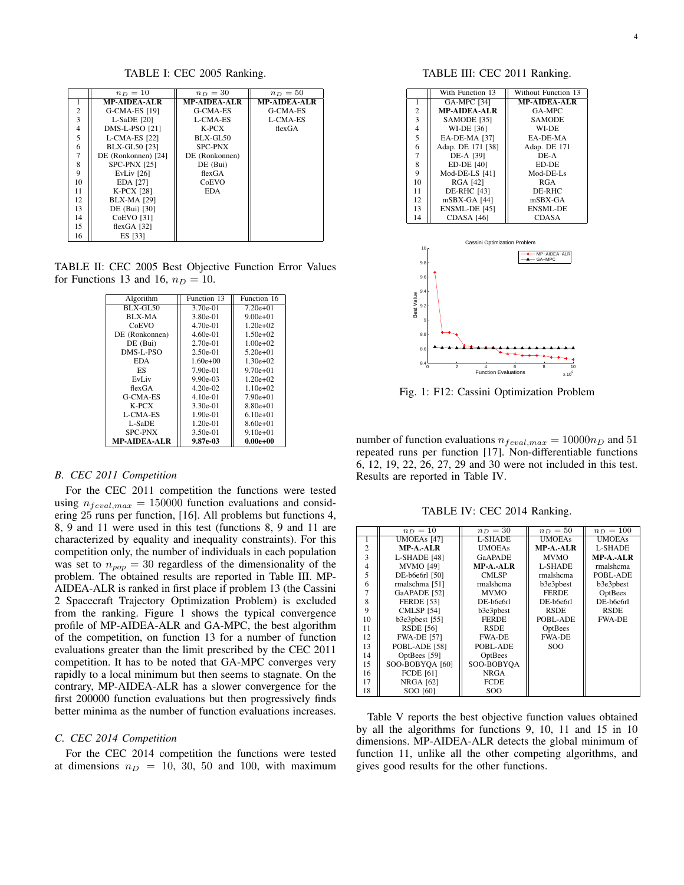TABLE I: CEC 2005 Ranking.

|                | $n_D=10$             | $n_D=30$            | $n_D=50$     |
|----------------|----------------------|---------------------|--------------|
|                | <b>MP-AIDEA-ALR</b>  | <b>MP-AIDEA-ALR</b> | MP-AIDEA-ALR |
| $\overline{2}$ | G-CMA-ES [19]        | G-CMA-ES            | G-CMA-ES     |
| 3              | $L-SaDE$ [20]        | L-CMA-ES            | L-CMA-ES     |
| $\overline{4}$ | DMS-L-PSO [21]       | $K-PCX$             | flexGA       |
| 5              | L-CMA-ES [22]        | $BLX-GL50$          |              |
| 6              | <b>BLX-GL50</b> [23] | <b>SPC-PNX</b>      |              |
| $\overline{7}$ | DE (Ronkonnen) [24]  | DE (Ronkonnen)      |              |
| 8              | SPC-PNX [25]         | DE (Bui)            |              |
| 9              | <b>EvLiv</b> [26]    | flexGA              |              |
| 10             | EDA [27]             | CoEVO               |              |
| 11             | <b>K-PCX [28]</b>    | <b>EDA</b>          |              |
| 12             | <b>BLX-MA [29]</b>   |                     |              |
| 13             | DE (Bui) [30]        |                     |              |
| 14             | <b>CoEVO</b> [31]    |                     |              |
| 15             | flexGA $[32]$        |                     |              |
| 16             | ES [33]              |                     |              |

TABLE II: CEC 2005 Best Objective Function Error Values for Functions 13 and 16,  $n_D = 10$ .

| Algorithm      | Function 13 | Function 16  |  |  |
|----------------|-------------|--------------|--|--|
| $BLX-GL50$     | 3.70e-01    | $7.20e+01$   |  |  |
| BLX-MA         | 3.80e-01    | $9.00e + 01$ |  |  |
| CoEVO          | $4.70e-01$  | $1.20e+02$   |  |  |
| DE (Ronkonnen) | $4.60e-01$  | $1.50e+02$   |  |  |
| DE (Bui)       | $2.70e-01$  | $1.00e+02$   |  |  |
| DMS-L-PSO      | $2.50e-01$  | $5.20e+01$   |  |  |
| <b>EDA</b>     | $1.60e+00$  | $1.30e+02$   |  |  |
| ES             | 7.90e-01    | $9.70e+01$   |  |  |
| EvLiv          | $9.90e-03$  | $1.20e+02$   |  |  |
| flexGA         | $4.20e-02$  | $1.10e+02$   |  |  |
| G-CMA-ES       | $4.10e-01$  | $7.90e+01$   |  |  |
| $K-PCX$        | 3.30e-01    | $8.80e+01$   |  |  |
| L-CMA-ES       | $1.90e-01$  | $6.10e+01$   |  |  |
| L-SaDE         | $1.20e-01$  | $8.60e+01$   |  |  |
| <b>SPC-PNX</b> | $3.50e-01$  | $9.10e+01$   |  |  |
| MP-AIDEA-ALR   | 9.87e-03    | $0.00e + 00$ |  |  |

# *B. CEC 2011 Competition*

For the CEC 2011 competition the functions were tested using  $n_{\text{feval},max} = 150000$  function evaluations and considering 25 runs per function, [16]. All problems but functions 4, 8, 9 and 11 were used in this test (functions 8, 9 and 11 are characterized by equality and inequality constraints). For this competition only, the number of individuals in each population was set to  $n_{pop} = 30$  regardless of the dimensionality of the problem. The obtained results are reported in Table III. MP-AIDEA-ALR is ranked in first place if problem 13 (the Cassini 2 Spacecraft Trajectory Optimization Problem) is excluded from the ranking. Figure 1 shows the typical convergence profile of MP-AIDEA-ALR and GA-MPC, the best algorithm of the competition, on function 13 for a number of function evaluations greater than the limit prescribed by the CEC 2011 competition. It has to be noted that GA-MPC converges very rapidly to a local minimum but then seems to stagnate. On the contrary, MP-AIDEA-ALR has a slower convergence for the first 200000 function evaluations but then progressively finds better minima as the number of function evaluations increases.

### *C. CEC 2014 Competition*

For the CEC 2014 competition the functions were tested at dimensions  $n_D = 10$ , 30, 50 and 100, with maximum

## TABLE III: CEC 2011 Ranking.

|                         | With Function 13    | Without Function 13 |
|-------------------------|---------------------|---------------------|
| 1                       | <b>GA-MPC</b> [34]  | <b>MP-AIDEA-ALR</b> |
| $\overline{\mathbf{c}}$ | <b>MP-AIDEA-ALR</b> | GA-MPC              |
| $\overline{\mathbf{3}}$ | SAMODE [35]         | <b>SAMODE</b>       |
| $\frac{4}{5}$           | <b>WI-DE [36]</b>   | WI-DE               |
|                         | EA-DE-MA [37]       | EA-DE-MA            |
| 6                       | Adap. DE 171 [38]   | Adap. DE 171        |
| 7                       | $DE-A$ [39]         | $DE-A$              |
| 8                       | <b>ED-DE [40]</b>   | ED-DE               |
| 9                       | Mod-DE-LS [41]      | Mod-DE-Ls           |
| 10                      | RGA [42]            | <b>RGA</b>          |
| 11                      | <b>DE-RHC [43]</b>  | DE-RHC              |
| 12                      | $mSBX-GA$ [44]      | $mSBX-GA$           |
| 13                      | ENSML-DE [45]       | <b>ENSML-DE</b>     |
| 14                      | CDASA [46]          | <b>CDASA</b>        |
|                         |                     |                     |
|                         |                     |                     |



Fig. 1: F12: Cassini Optimization Problem

number of function evaluations  $n_{feval,max} = 10000n_D$  and 51 repeated runs per function [17]. Non-differentiable functions 6, 12, 19, 22, 26, 27, 29 and 30 were not included in this test. Results are reported in Table IV.

TABLE IV: CEC 2014 Ranking.

|                | $n_D = 10$         | $n_D = 30$     | $n_D = 50$    | $n_D = 100$      |
|----------------|--------------------|----------------|---------------|------------------|
|                |                    |                |               |                  |
| 1              | <b>UMOEAs</b> [47] | L-SHADE        | <b>UMOEAs</b> | <b>UMOEAs</b>    |
| $\overline{2}$ | MP-A.-ALR          | <b>UMOEAs</b>  | $MP-A.-ALR$   | L-SHADE          |
| 3              | L-SHADE [48]       | <b>GaAPADE</b> | <b>MVMO</b>   | <b>MP-A.-ALR</b> |
| $\overline{4}$ | <b>MVMO</b> [49]   | MP-A.-ALR      | L-SHADE       | rmalshcma        |
| 5              | DE-b6e6rl [50]     | CMLSP          | rmalshcma     | POBL-ADE         |
| 6              | rmalschma [51]     | rmalshcma      | b3e3pbest     | b3e3pbest        |
|                | GaAPADE [52]       | <b>MVMO</b>    | <b>FERDE</b>  | OptBees          |
| 8              | <b>FERDE [53]</b>  | DE-b6e6rl      | DE-b6e6rl     | DE-b6e6rl        |
| 9              | <b>CMLSP</b> [54]  | b3e3pbest      | <b>RSDE</b>   | <b>RSDE</b>      |
| 10             | b3e3pbest [55]     | <b>FERDE</b>   | POBL-ADE      | <b>FWA-DE</b>    |
| 11             | <b>RSDE</b> [56]   | <b>RSDE</b>    | OptBees       |                  |
| 12             | <b>FWA-DE [57]</b> | <b>FWA-DE</b>  | <b>FWA-DE</b> |                  |
| 13             | POBL-ADE [58]      | POBL-ADE       | SOO           |                  |
| 14             | OptBees [59]       | OptBees        |               |                  |
| 15             | SOO-BOBYQA [60]    | SOO-BOBYOA     |               |                  |
| 16             | <b>FCDE [61]</b>   | <b>NRGA</b>    |               |                  |
| 17             | <b>NRGA</b> [62]   | FCDE           |               |                  |
| 18             | SOO [60]           | SOO            |               |                  |

Table V reports the best objective function values obtained by all the algorithms for functions 9, 10, 11 and 15 in 10 dimensions. MP-AIDEA-ALR detects the global minimum of function 11, unlike all the other competing algorithms, and gives good results for the other functions.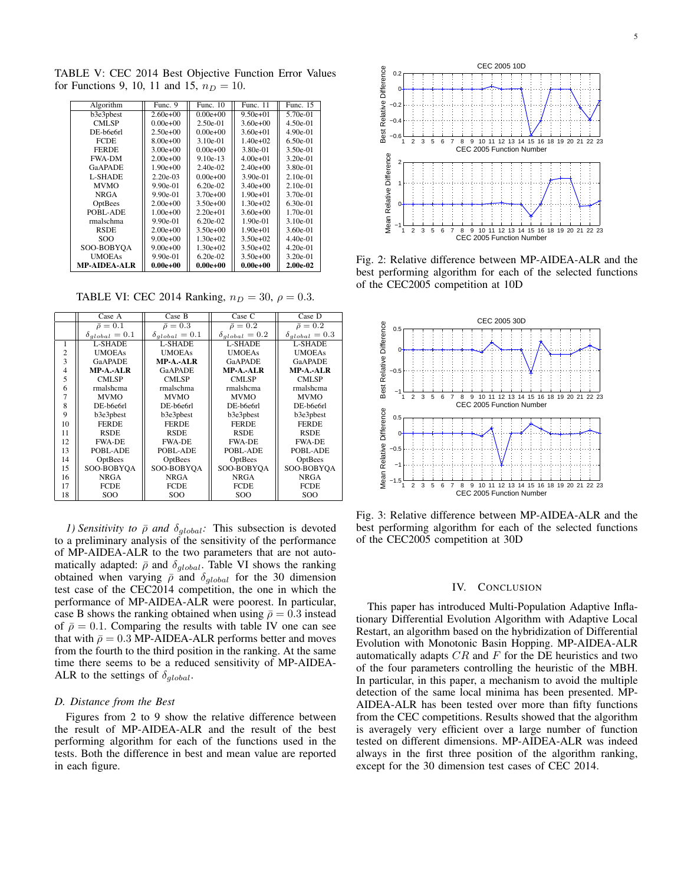TABLE V: CEC 2014 Best Objective Function Error Values for Functions 9, 10, 11 and 15,  $n_D = 10$ .

| Algorithm           | Func. 9      | Func. 10     | Func. 11     | Func. 15   |
|---------------------|--------------|--------------|--------------|------------|
| b3e3pbest           | $2.60e+00$   | $0.00e+0.0$  | $9.50e+01$   | 5.70e-01   |
| CMLSP               | $0.00e+0.0$  | $2.50e-01$   | $3.60e+00$   | $4.50e-01$ |
| DE-b6e6rl           | $2.50e+00$   | $0.00e+0.0$  | $3.60e + 01$ | 4.90e-01   |
| <b>FCDE</b>         | $8.00e+0.0$  | $3.10e-01$   | $1.40e+02$   | $6.50e-01$ |
| <b>FERDE</b>        | $3.00e + 00$ | $0.00e+0.0$  | 3.80e-01     | 3.50e-01   |
| <b>FWA-DM</b>       | $2.00e+0.0$  | $9.10e-13$   | $4.00e+01$   | $3.20e-01$ |
| GaAPADE             | $1.90e+00$   | $2.40e-02$   | $2.40e+0.0$  | 3.80e-01   |
| <b>L-SHADE</b>      | $2.20e-03$   | $0.00e+0.0$  | 3.90e-01     | $2.10e-01$ |
| <b>MVMO</b>         | $9.90e-01$   | $6.20e-02$   | $3.40e+00$   | $2.10e-01$ |
| <b>NRGA</b>         | 9.90e-01     | $3.70e+0.0$  | $1.90e+01$   | 3.70e-01   |
| OptBees             | $2.00e+0.0$  | $3.50e+00$   | $1.30e+02$   | $6.30e-01$ |
| POBL-ADE            | $1.00e+0.0$  | $2.20e+01$   | $3.60e+00$   | $1.70e-01$ |
| rmalschma           | 9.90e-01     | $6.20e-02$   | $1.90e-01$   | $3.10e-01$ |
| <b>RSDE</b>         | $2.00e+0.0$  | $3.50e+00$   | $1.90e + 01$ | 3.60e-01   |
| SOO                 | $9.00e+0.0$  | $1.30e+02$   | $3.50e+02$   | $4.40e-01$ |
| SOO-BOBYOA          | $9.00e + 00$ | $1.30e+02$   | $3.50e + 02$ | $4.20e-01$ |
| <b>UMOEAs</b>       | 9.90e-01     | $6.20e-02$   | $3.50e+00$   | $3.20e-01$ |
| <b>MP-AIDEA-ALR</b> | $0.00e + 00$ | $0.00e + 00$ | $0.00e + 00$ | 2.00e-02   |

TABLE VI: CEC 2014 Ranking,  $n_D = 30$ ,  $\rho = 0.3$ .

|                | Case A                  | Case B                  | Case C                  | Case D                  |
|----------------|-------------------------|-------------------------|-------------------------|-------------------------|
|                | $\bar{\rho}=0.1$        | $\bar{\rho}=0.3$        | $\bar{\rho}=0.2$        | $\bar{\rho}=0.2$        |
|                | $\delta_{global} = 0.1$ | $\delta_{global} = 0.1$ | $\delta_{global} = 0.2$ | $\delta_{global} = 0.3$ |
| 1              | L-SHADE                 | L-SHADE                 | L-SHADE                 | L-SHADE                 |
| $\overline{2}$ | <b>UMOEAs</b>           | <b>UMOEAs</b>           | <b>UMOEAs</b>           | <b>UMOEAs</b>           |
| 3              | <b>GaAPADE</b>          | $MP-A.-ALR$             | <b>GaAPADE</b>          | GaAPADE                 |
| 4              | <b>MP-A.-ALR</b>        | <b>GaAPADE</b>          | <b>MP-A.-ALR</b>        | <b>MP-A.-ALR</b>        |
| 5              | <b>CMLSP</b>            | CMLSP                   | <b>CMLSP</b>            | <b>CMLSP</b>            |
| 6              | rmalshema               | rmalschma               | rmalshcma               | rmalshcma               |
|                | <b>MVMO</b>             | <b>MVMO</b>             | <b>MVMO</b>             | <b>MVMO</b>             |
| 8              | DE-b6e6rl               | DE-b6e6rl               | DE-b6e6rl               | DE-b6e6rl               |
| 9              | b3e3pbest               | b3e3pbest               | b3e3pbest               | b3e3pbest               |
| 10             | <b>FERDE</b>            | <b>FERDE</b>            | <b>FERDE</b>            | <b>FERDE</b>            |
| 11             | <b>RSDE</b>             | <b>RSDE</b>             | <b>RSDE</b>             | <b>RSDE</b>             |
| 12             | <b>FWA-DE</b>           | <b>FWA-DE</b>           | <b>FWA-DE</b>           | <b>FWA-DE</b>           |
| 13             | POBL-ADE                | POBL-ADE                | POBL-ADE                | POBL-ADE                |
| 14             | OptBees                 | OptBees                 | OptBees                 | OptBees                 |
| 15             | SOO-BOBYOA              | SOO-BOBYOA              | SOO-BOBYOA              | SOO-BOBYOA              |
| 16             | <b>NRGA</b>             | <b>NRGA</b>             | <b>NRGA</b>             | <b>NRGA</b>             |
| 17             | <b>FCDE</b>             | <b>FCDE</b>             | <b>FCDE</b>             | <b>FCDE</b>             |
| 18             | SOO                     | <b>SOO</b>              | <b>SOO</b>              | SOO                     |

*1) Sensitivity to*  $\bar{\rho}$  *and*  $\delta_{global}$ *:* This subsection is devoted to a preliminary analysis of the sensitivity of the performance of MP-AIDEA-ALR to the two parameters that are not automatically adapted:  $\bar{\rho}$  and  $\delta_{global}$ . Table VI shows the ranking obtained when varying  $\bar{\rho}$  and  $\delta_{global}$  for the 30 dimension test case of the CEC2014 competition, the one in which the performance of MP-AIDEA-ALR were poorest. In particular, case B shows the ranking obtained when using  $\bar{\rho} = 0.3$  instead of  $\bar{\rho} = 0.1$ . Comparing the results with table IV one can see that with  $\bar{\rho} = 0.3$  MP-AIDEA-ALR performs better and moves from the fourth to the third position in the ranking. At the same time there seems to be a reduced sensitivity of MP-AIDEA-ALR to the settings of *δglobal*.

#### *D. Distance from the Best*

Figures from 2 to 9 show the relative difference between the result of MP-AIDEA-ALR and the result of the best performing algorithm for each of the functions used in the tests. Both the difference in best and mean value are reported in each figure.



Fig. 2: Relative difference between MP-AIDEA-ALR and the best performing algorithm for each of the selected functions of the CEC2005 competition at 10D



Fig. 3: Relative difference between MP-AIDEA-ALR and the best performing algorithm for each of the selected functions of the CEC2005 competition at 30D

#### IV. CONCLUSION

This paper has introduced Multi-Population Adaptive Inflationary Differential Evolution Algorithm with Adaptive Local Restart, an algorithm based on the hybridization of Differential Evolution with Monotonic Basin Hopping. MP-AIDEA-ALR automatically adapts *CR* and *F* for the DE heuristics and two of the four parameters controlling the heuristic of the MBH. In particular, in this paper, a mechanism to avoid the multiple detection of the same local minima has been presented. MP-AIDEA-ALR has been tested over more than fifty functions from the CEC competitions. Results showed that the algorithm is averagely very efficient over a large number of function tested on different dimensions. MP-AIDEA-ALR was indeed always in the first three position of the algorithm ranking, except for the 30 dimension test cases of CEC 2014.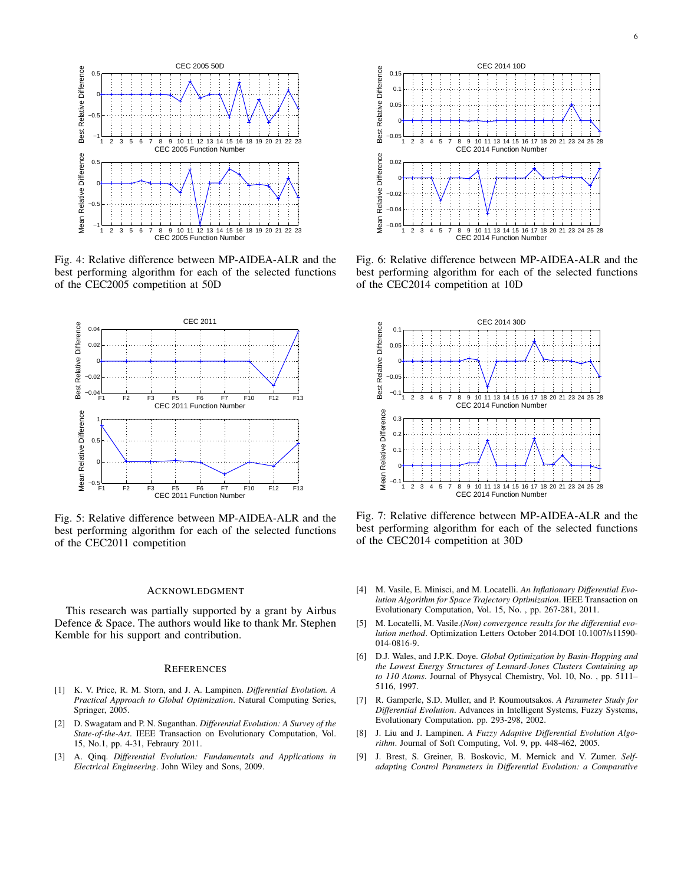

Fig. 4: Relative difference between MP-AIDEA-ALR and the best performing algorithm for each of the selected functions of the CEC2005 competition at 50D



Fig. 5: Relative difference between MP-AIDEA-ALR and the best performing algorithm for each of the selected functions of the CEC2011 competition

### ACKNOWLEDGMENT

This research was partially supported by a grant by Airbus Defence & Space. The authors would like to thank Mr. Stephen Kemble for his support and contribution.

#### **REFERENCES**

- [1] K. V. Price, R. M. Storn, and J. A. Lampinen. *Differential Evolution. A Practical Approach to Global Optimization*. Natural Computing Series, Springer, 2005.
- [2] D. Swagatam and P. N. Suganthan. *Differential Evolution: A Survey of the State-of-the-Art*. IEEE Transaction on Evolutionary Computation, Vol. 15, No.1, pp. 4-31, Febraury 2011.
- [3] A. Qinq. *Differential Evolution: Fundamentals and Applications in Electrical Engineering*. John Wiley and Sons, 2009.



Fig. 6: Relative difference between MP-AIDEA-ALR and the best performing algorithm for each of the selected functions of the CEC2014 competition at 10D



Fig. 7: Relative difference between MP-AIDEA-ALR and the best performing algorithm for each of the selected functions of the CEC2014 competition at 30D

- [4] M. Vasile, E. Minisci, and M. Locatelli. *An Inflationary Differential Evolution Algorithm for Space Trajectory Optimization*. IEEE Transaction on Evolutionary Computation, Vol. 15, No. , pp. 267-281, 2011.
- [5] M. Locatelli, M. Vasile.*(Non) convergence results for the differential evolution method*. Optimization Letters October 2014.DOI 10.1007/s11590- 014-0816-9.
- [6] D.J. Wales, and J.P.K. Doye. *Global Optimization by Basin-Hopping and the Lowest Energy Structures of Lennard-Jones Clusters Containing up to 110 Atoms*. Journal of Physycal Chemistry, Vol. 10, No. , pp. 5111– 5116, 1997.
- [7] R. Gamperle, S.D. Muller, and P. Koumoutsakos. *A Parameter Study for Differential Evolution*. Advances in Intelligent Systems, Fuzzy Systems, Evolutionary Computation. pp. 293-298, 2002.
- [8] J. Liu and J. Lampinen. *A Fuzzy Adaptive Differential Evolution Algorithm*. Journal of Soft Computing, Vol. 9, pp. 448-462, 2005.
- [9] J. Brest, S. Greiner, B. Boskovic, M. Mernick and V. Zumer. *Selfadapting Control Parameters in Differential Evolution: a Comparative*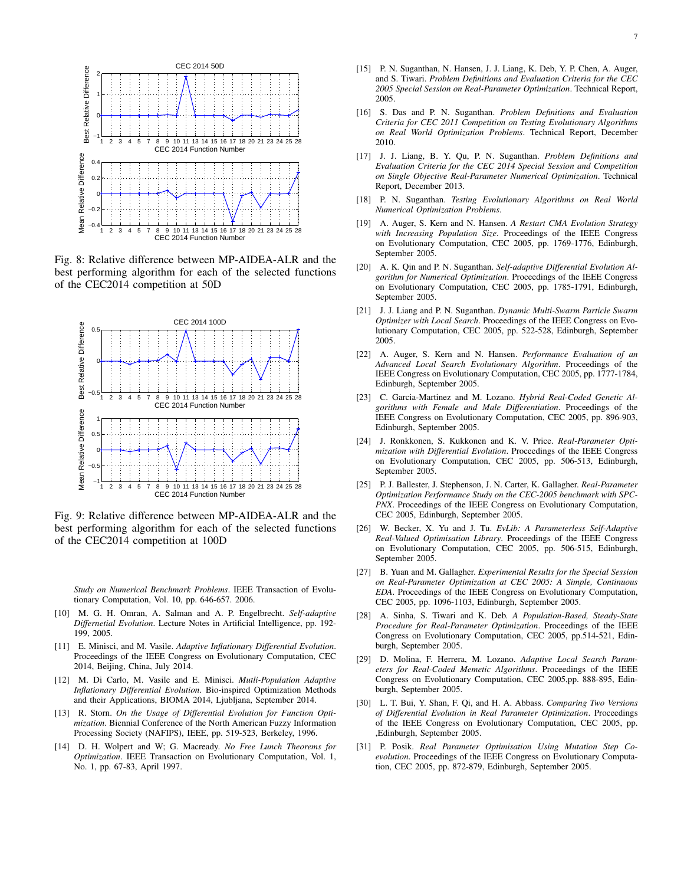

Fig. 8: Relative difference between MP-AIDEA-ALR and the best performing algorithm for each of the selected functions of the CEC2014 competition at 50D



Fig. 9: Relative difference between MP-AIDEA-ALR and the best performing algorithm for each of the selected functions of the CEC2014 competition at 100D

*Study on Numerical Benchmark Problems*. IEEE Transaction of Evolutionary Computation, Vol. 10, pp. 646-657. 2006.

- [10] M. G. H. Omran, A. Salman and A. P. Engelbrecht. *Self-adaptive Differnetial Evolution*. Lecture Notes in Artificial Intelligence, pp. 192- 199, 2005.
- [11] E. Minisci, and M. Vasile. *Adaptive Inflationary Differential Evolution*. Proceedings of the IEEE Congress on Evolutionary Computation, CEC 2014, Beijing, China, July 2014.
- [12] M. Di Carlo, M. Vasile and E. Minisci. *Mutli-Population Adaptive Inflationary Differential Evolution*. Bio-inspired Optimization Methods and their Applications, BIOMA 2014, Ljubljana, September 2014.
- [13] R. Storn. *On the Usage of Differential Evolution for Function Optimization*. Biennial Conference of the North American Fuzzy Information Processing Society (NAFIPS), IEEE, pp. 519-523, Berkeley, 1996.
- [14] D. H. Wolpert and W; G. Macready. *No Free Lunch Theorems for Optimization*. IEEE Transaction on Evolutionary Computation, Vol. 1, No. 1, pp. 67-83, April 1997.
- [15] P. N. Suganthan, N. Hansen, J. J. Liang, K. Deb, Y. P. Chen, A. Auger, and S. Tiwari. *Problem Definitions and Evaluation Criteria for the CEC 2005 Special Session on Real-Parameter Optimization*. Technical Report, 2005.
- [16] S. Das and P. N. Suganthan. *Problem Definitions and Evaluation Criteria for CEC 2011 Competition on Testing Evolutionary Algorithms on Real World Optimization Problems*. Technical Report, December 2010.
- [17] J. J. Liang, B. Y. Qu, P. N. Suganthan. *Problem Definitions and Evaluation Criteria for the CEC 2014 Special Session and Competition on Single Objective Real-Parameter Numerical Optimization*. Technical Report, December 2013.
- [18] P. N. Suganthan. *Testing Evolutionary Algorithms on Real World Numerical Optimization Problems*.
- [19] A. Auger, S. Kern and N. Hansen. *A Restart CMA Evolution Strategy with Increasing Population Size*. Proceedings of the IEEE Congress on Evolutionary Computation, CEC 2005, pp. 1769-1776, Edinburgh, September 2005.
- [20] A. K. Qin and P. N. Suganthan. *Self-adaptive Differential Evolution Algorithm for Numerical Optimization*. Proceedings of the IEEE Congress on Evolutionary Computation, CEC 2005, pp. 1785-1791, Edinburgh, September 2005.
- [21] J. J. Liang and P. N. Suganthan. *Dynamic Multi-Swarm Particle Swarm Optimizer with Local Search*. Proceedings of the IEEE Congress on Evolutionary Computation, CEC 2005, pp. 522-528, Edinburgh, September 2005.
- [22] A. Auger, S. Kern and N. Hansen. *Performance Evaluation of an Advanced Local Search Evolutionary Algorithm*. Proceedings of the IEEE Congress on Evolutionary Computation, CEC 2005, pp. 1777-1784, Edinburgh, September 2005.
- [23] C. Garcia-Martinez and M. Lozano. *Hybrid Real-Coded Genetic Algorithms with Female and Male Differentiation*. Proceedings of the IEEE Congress on Evolutionary Computation, CEC 2005, pp. 896-903, Edinburgh, September 2005.
- [24] J. Ronkkonen, S. Kukkonen and K. V. Price. *Real-Parameter Optimization with Differential Evolution*. Proceedings of the IEEE Congress on Evolutionary Computation, CEC 2005, pp. 506-513, Edinburgh, September 2005.
- [25] P. J. Ballester, J. Stephenson, J. N. Carter, K. Gallagher. *Real-Parameter Optimization Performance Study on the CEC-2005 benchmark with SPC-PNX*. Proceedings of the IEEE Congress on Evolutionary Computation, CEC 2005, Edinburgh, September 2005.
- [26] W. Becker, X. Yu and J. Tu. *EvLib: A Parameterless Self-Adaptive Real-Valued Optimisation Library*. Proceedings of the IEEE Congress on Evolutionary Computation, CEC 2005, pp. 506-515, Edinburgh, September 2005.
- [27] B. Yuan and M. Gallagher. *Experimental Results for the Special Session on Real-Parameter Optimization at CEC 2005: A Simple, Continuous EDA*. Proceedings of the IEEE Congress on Evolutionary Computation, CEC 2005, pp. 1096-1103, Edinburgh, September 2005.
- [28] A. Sinha, S. Tiwari and K. Deb. *A Population-Based, Steady-State Procedure for Real-Parameter Optimization*. Proceedings of the IEEE Congress on Evolutionary Computation, CEC 2005, pp.514-521, Edinburgh, September 2005.
- [29] D. Molina, F. Herrera, M. Lozano. *Adaptive Local Search Parameters for Real-Coded Memetic Algorithms*. Proceedings of the IEEE Congress on Evolutionary Computation, CEC 2005,pp. 888-895, Edinburgh, September 2005.
- [30] L. T. Bui, Y. Shan, F. Qi, and H. A. Abbass. *Comparing Two Versions of Differential Evolution in Real Parameter Optimization*. Proceedings of the IEEE Congress on Evolutionary Computation, CEC 2005, pp. ,Edinburgh, September 2005.
- [31] P. Posik. *Real Parameter Optimisation Using Mutation Step Coevolution*. Proceedings of the IEEE Congress on Evolutionary Computation, CEC 2005, pp. 872-879, Edinburgh, September 2005.